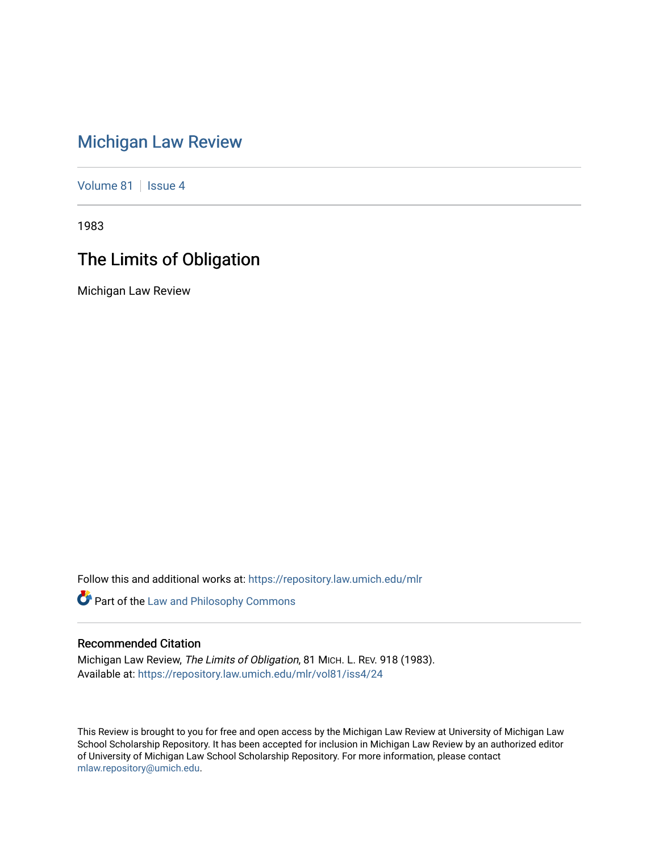## [Michigan Law Review](https://repository.law.umich.edu/mlr)

[Volume 81](https://repository.law.umich.edu/mlr/vol81) | [Issue 4](https://repository.law.umich.edu/mlr/vol81/iss4)

1983

## The Limits of Obligation

Michigan Law Review

Follow this and additional works at: [https://repository.law.umich.edu/mlr](https://repository.law.umich.edu/mlr?utm_source=repository.law.umich.edu%2Fmlr%2Fvol81%2Fiss4%2F24&utm_medium=PDF&utm_campaign=PDFCoverPages) 

**Part of the Law and Philosophy Commons** 

## Recommended Citation

Michigan Law Review, The Limits of Obligation, 81 MICH. L. REV. 918 (1983). Available at: [https://repository.law.umich.edu/mlr/vol81/iss4/24](https://repository.law.umich.edu/mlr/vol81/iss4/24?utm_source=repository.law.umich.edu%2Fmlr%2Fvol81%2Fiss4%2F24&utm_medium=PDF&utm_campaign=PDFCoverPages) 

This Review is brought to you for free and open access by the Michigan Law Review at University of Michigan Law School Scholarship Repository. It has been accepted for inclusion in Michigan Law Review by an authorized editor of University of Michigan Law School Scholarship Repository. For more information, please contact [mlaw.repository@umich.edu.](mailto:mlaw.repository@umich.edu)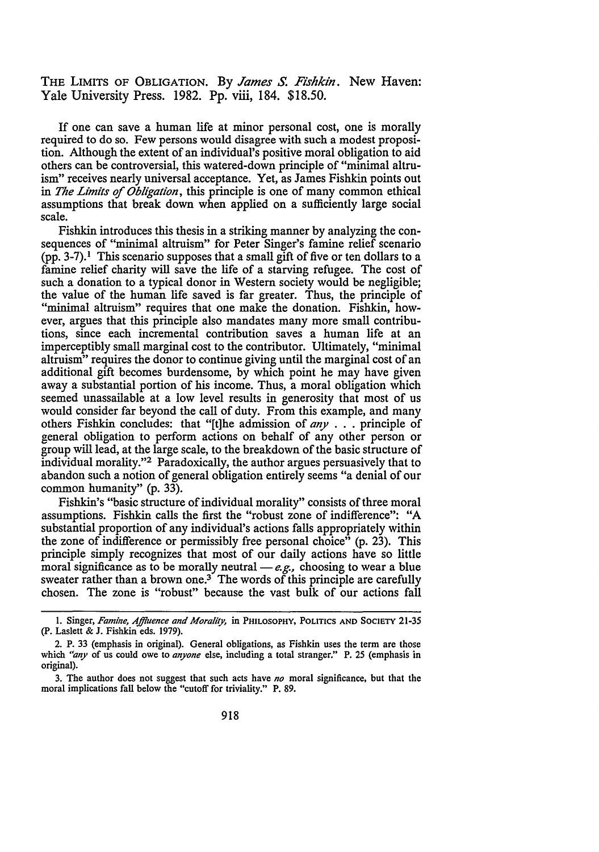THE LIMITS OF OBLIGATION. By *James* S. *Fishkin.* New Haven: Yale University Press. 1982. Pp. viii, 184. \$18.50.

If one can save a human life at minor personal cost, one is morally required to do so. Few persons would disagree with such a modest proposition. Although the extent of an individual's positive moral obligation to aid others can be controversial, this watered-down principle of "minimal altruism" receives nearly universal acceptance. Yet, as James Fishkin points out in *The Limits of Obligation,* this principle is one of many common ethical assumptions that break down when applied on a sufficiently large social scale.

Fishkin introduces this thesis in a striking manner by analyzing the consequences of "minimal altruism" for Peter Singer's famine relief scenario (pp. 3-7).<sup>1</sup> This scenario supposes that a small gift of five or ten dollars to a famine relief charity will save the life of a starving refugee. The cost of such a donation to a typical donor in Western society would be negligible; the value of the human life saved is far greater. Thus, the principle of "minimal altruism" requires that one make the donation. Fishkin, however, argues that this principle also mandates many more small contributions, since each incremental contribution saves a human life at an imperceptibly small marginal cost to the contributor. Ultimately, "minimal altruism" requires the donor to continue giving until the marginal cost of an additional gift becomes burdensome, by which point he may have given away a substantial portion of his income. Thus, a moral obligation which seemed unassailable at a low level results in generosity that most of us would consider far beyond the call of duty. From this example, and many others Fishkin concludes: that "[t]he admission of *any* . . . principle of general obligation to perform actions on behalf of any other person or group will lead, at the large scale, to the breakdown of the basic structure of individual morality."<sup>2</sup> Paradoxically, the author argues persuasively that to abandon such a notion of general obligation entirely seems "a denial of our common humanity" (p. 33).

Fishkin's "basic structure of individual morality" consists of three moral assumptions. Fishkin calls the first the "robust zone of indifference": "A substantial proportion of any individual's actions falls appropriately within the zone of indifference or permissibly free personal choice" (p. 23). This principle simply recognizes that most of our daily actions have so little moral significance as to be morally neutral  $-e.g.,$  choosing to wear a blue sweater rather than a brown one.<sup>3</sup> The words of this principle are carefully chosen. The zone is "robust" because the vast bulk of our actions fall

I. Singer, *Famine, Aj/luence and Morality,* in PHILOSOPHY, POLITICS AND SOCIETY 21-35 (P. Laslett & J. Fishkin eds. 1979).

<sup>2.</sup> P. 33 (emphasis in original). General obligations, as Fishkin uses the term are those which *''any* of us could owe to *anyone* else, including a total stranger." P. 25 (emphasis in original).

<sup>3.</sup> The author does not suggest that such acts have *no* moral significance, but that the moral implications fall below the "cutoff for triviality." P. 89.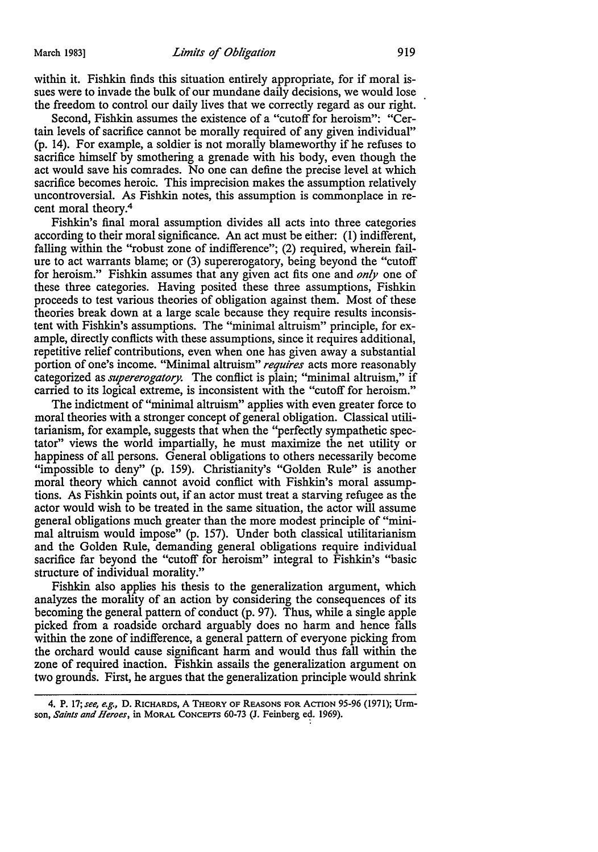within it. Fishkin finds this situation entirely appropriate, for if moral issues were to invade the bulk of our mundane daily decisions, we would lose the freedom to control our daily lives that we correctly regard as our right.

Second, Fishkin assumes the existence of a "cutoff for heroism": "Certain levels of sacrifice cannot be morally required of any given individual"  $(p. 14)$ . For example, a soldier is not morally blameworthy if he refuses to sacrifice himself by smothering a grenade with his body, even though the act would save his comrades. No one can define the precise level at which sacrifice becomes heroic. This imprecision makes the assumption relatively uncontroversial. As Fishkin notes, this assumption is commonplace in recent moral theory.<sup>4</sup>

Fishkin's final moral assumption divides all acts into three categories according to their moral significance. An act must be either: (1) indifferent, falling within the "robust zone of indifference"; (2) required, wherein failure to act warrants blame; or (3) supererogatory, being beyond the "cutoff for heroism." Fishkin assumes that any given act fits one and *only* one of these three categories. Having posited these three assumptions, Fishkin proceeds to test various theories of obligation against them. Most of these theories break down at a large scale because they require results inconsistent with Fishkin's assumptions. The "minimal altruism" principle, for example, directly conflicts with these assumptions, since it requires additional, repetitive relief contributions, even when one has given away a substantial portion of one's income. "Minimal altruism" *requires* acts more reasonably categorized as *supererogatory.* The conflict is plain; "minimal altruism," if carried to its logical extreme, is inconsistent with the "cutoff for heroism."

The indictment of "minimal altruism" applies with even greater force to moral theories with a stronger concept of general obligation. Classical utilitarianism, for example, suggests that when the "perfectly sympathetic spectator" views the world impartially, he must maximize the net utility or happiness of all persons. General obligations to others necessarily become "impossible to deny" (p. 159). Christianity's "Golden Rule" is another moral theory which cannot avoid conflict with Fishkin's moral assumptions. As Fishkin points out, if an actor must treat a starving refugee as the actor would wish to be treated in the same situation, the actor will assume general obligations much greater than the more modest principle of "minimal altruism would impose" (p. 157). Under both classical utilitarianism and the Golden Rule, demanding general obligations require individual sacrifice far beyond the "cutoff for heroism" integral to Fishkin's "basic structure of individual morality."

Fishkin also applies his thesis to the generalization argument, which analyzes the morality of an action by considering the consequences of its becoming the general pattern of conduct (p. 97). Thus, while a single apple picked from a roadside orchard arguably does no harm and hence falls within the zone of indifference, a general pattern of everyone picking from the orchard would cause significant harm and would thus fall within the zone of required inaction. Fishkin assails the generalization argument on two grounds. First, he argues that the generalization principle would shrink

<sup>4.</sup> P. 17; *see, e.g.,* D. RICHARDS, A THEORY OF REASONS FOR ACTION 95-96 (1971); Unnson, *Saints and Heroes*, in MORAL CONCEPTS 60-73 (J. Feinberg ed. 1969).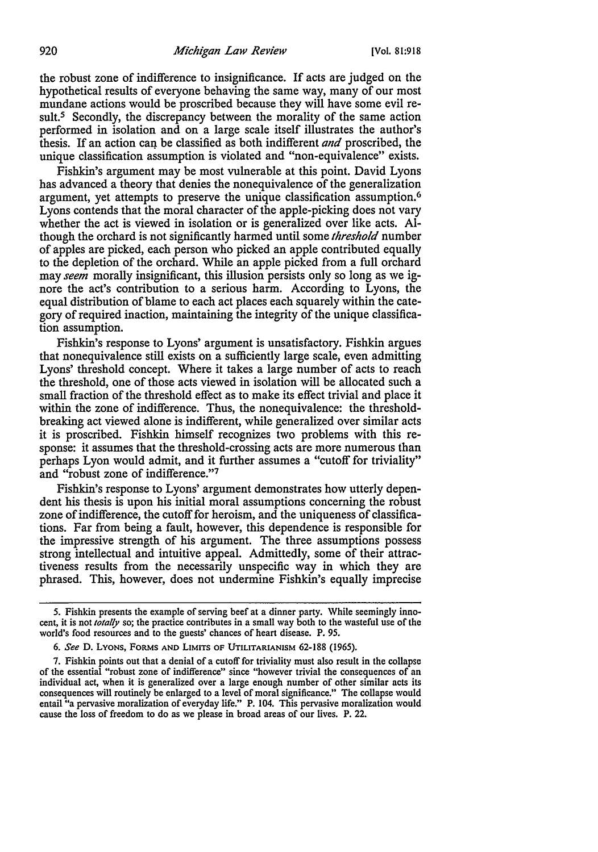the robust zone of indifference to insignificance. If acts are judged on the hypothetical results of everyone behaving the same way, many of our most mundane actions would be proscribed because they will have some evil result.<sup>5</sup> Secondly, the discrepancy between the morality of the same action performed in isolation and on a large scale itself illustrates the author's thesis. If an action can be classified as both indifferent *and* proscribed, the unique classification assumption is violated and "non-equivalence" exists.

Fishkin's argument may be most vulnerable at this point. David Lyons has advanced a theory that denies the nonequivalence of the generalization argument, yet attempts to preserve the unique classification assumption.<sup>6</sup> Lyons contends that the moral character of the apple-picking does not vary whether the act is viewed in isolation or is generalized over like acts. Although the orchard is not significantly harmed until some *threshold* number of apples are picked, each person who picked an apple contributed equally to the depletion of the orchard. While an apple picked from a full orchard may *seem* morally insignificant, this illusion persists only so long as we ignore the act's contribution to a serious harm. According to Lyons, the equal distribution of blame to each act places each squarely within the category of required inaction, maintaining the integrity of the unique classification assumption.

Fishkin's response to Lyons' argument is unsatisfactory. Fishkin argues that nonequivalence still exists on a sufficiently large scale, even admitting Lyons' threshold concept. Where it takes a large number of acts to reach the threshold, one of those acts viewed in isolation will be allocated such a small fraction of the threshold effect as to make its effect trivial and place it within the zone of indifference. Thus, the nonequivalence: the thresholdbreaking act viewed alone is indifferent, while generalized over similar acts it is proscribed. Fishkin himself recognizes two problems with this response: it assumes that the threshold-crossing acts are more numerous than perhaps Lyon would admit, and it further assumes a "cutoff for triviality" and "robust zone of indifference."<sup>7</sup>

Fishkin's response to Lyons' argument demonstrates how utterly dependent his thesis is upon his initial moral assumptions concerning the robust zone of indifference, the cutoff for heroism, and the uniqueness of classifications. Far from being a fault, however, this dependence is responsible for the impressive strength of his argument. The three assumptions possess strong intellectual and intuitive appeal. Admittedly, some of their attractiveness results from the necessarily unspecific way in which they are phrased. This, however, does not undermine Fishkin's equally imprecise

*<sup>5.</sup>* Fishkin presents the example of serving beef at a dinner party. While seemingly innocent, it is not *totally* so; the practice contributes in a small way both to the wasteful use of the world's food resources and to the guests' chances of heart disease. P. 95.

<sup>6.</sup> *See* D. LYONS, FORMS AND LIMITS OF UTILITARIANISM 62-188 (1965).

<sup>7.</sup> Fishkin points out that a denial of a cutoff for triviality must also result in the collapse of the essential "robust zone of indifference" since "however trivial the consequences of an individual act, when it is generalized over a large enough number of other similar acts its consequences will routinely be enlarged to a level of moral significance." The collapse would entail "a pervasive moralization of everyday life." P. 104. This pervasive moralization would cause the loss of freedom to do as we please in broad areas of our lives. P. 22.